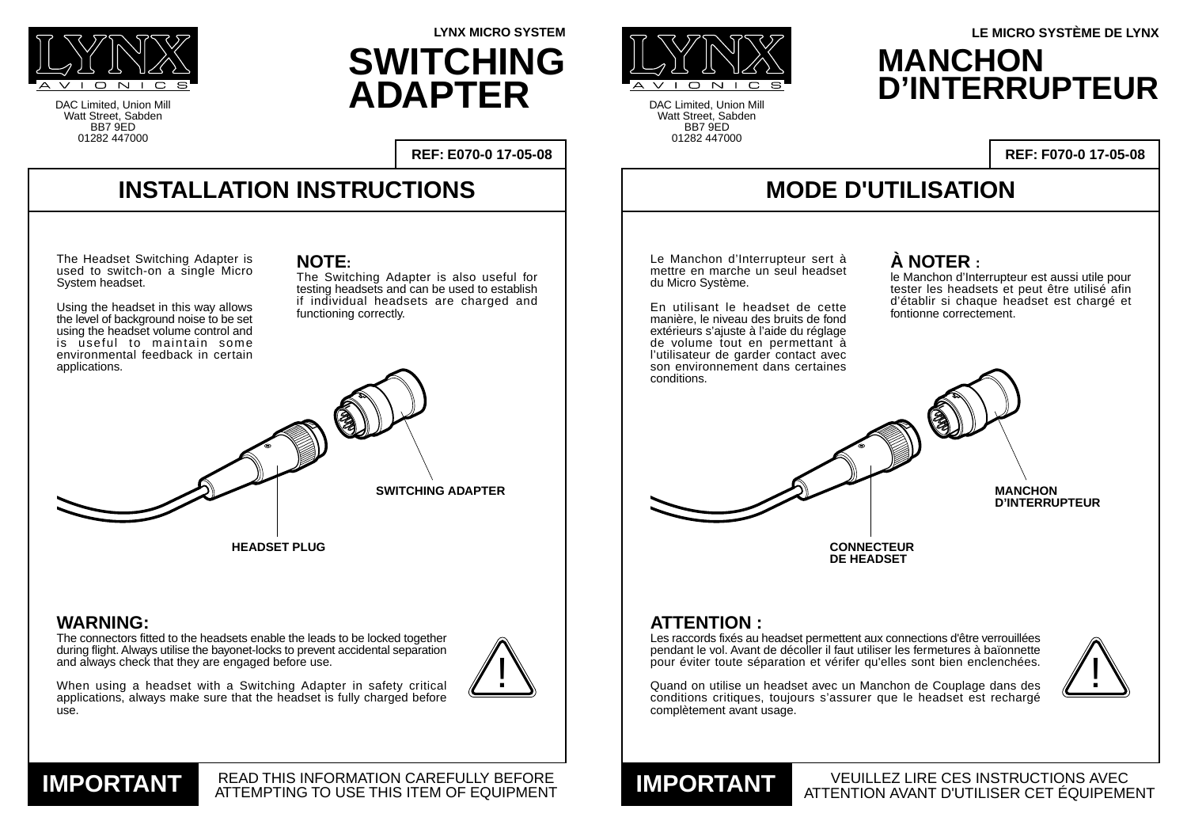#### **WARNING:**

The connectors fitted to the headsets enable the leads to be locked together during flight. Always utilise the bayonet-locks to prevent accidental separation and always check that they are engaged before use.



use.



#### READ THIS INFORMATION CAREFULLY BEFORE **IMPORTANT READ THIS INFORMATION CAREFULLY BEFORE**

pendant le vol. Avant de décoller il faut utiliser les fermetures à baïonnette pour éviter toute séparation et vérifer qu'elles sont bien enclenchées.

Quand on utilise un headset avec un Manchon de Couplage dans des conditions critiques, toujours s'assurer que le headset est rechargé complètement avant usage.

DAC Limited, Union Mill Watt Street, Sabden BB7 9ED 01282 447000

 $\overline{C}$   $\overline{N}$   $\overline{1}$ 

En utilisant le headset de cette manière, le niveau des bruits de fond extérieurs s'ajuste à l'aide du réglage de volume tout en permettant à l'utilisateur de garder contact avec



DAC Limited, Union Mill Watt Street, Sabden BB7 9ED 01282 447000

**REF: E070-0 17-05-08**

le Manchon d'Interrupteur est aussi utile pour tester les headsets et peut être utilisé afin d'établir si chaque headset est chargé et fontionne correctement.

**LYNX MICRO SYSTEM**

### **MODE D'UTILISATION**

VEUILLEZ LIRE CES INSTRUCTIONS AVEC ATTENTION AVANT D'UTILISER CET ÉQUIPEMENT **IMPORTANT**

**REF: F070-0 17-05-08**



### **MANCHON D'INTERRUPTEUR LE MICRO SYSTÈME DE LYNX**



# **SWITCHING ADAPTER**



Le Manchon d'Interrupteur sert à mettre en marche un seul headset du Micro Système.



#### **À NOTER :**